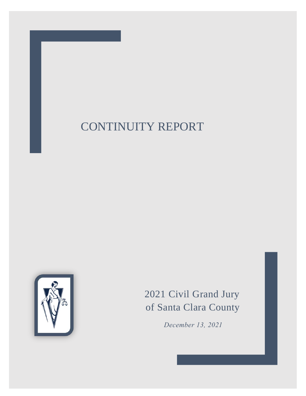

# 2021 Civil Grand Jury of Santa Clara County

*December 13, 2021*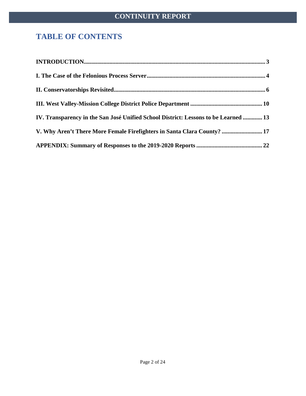# **TABLE OF CONTENTS**

| $\bf INTRODUCTION. 3$                                                               |  |
|-------------------------------------------------------------------------------------|--|
|                                                                                     |  |
|                                                                                     |  |
|                                                                                     |  |
| IV. Transparency in the San José Unified School District: Lessons to be Learned  13 |  |
| V. Why Aren't There More Female Firefighters in Santa Clara County?  17             |  |
|                                                                                     |  |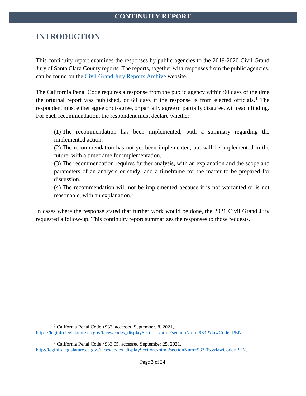# <span id="page-2-0"></span>**INTRODUCTION**

 $\overline{a}$ 

This continuity report examines the responses by public agencies to the 2019-2020 Civil Grand Jury of Santa Clara County reports. The reports, together with responses from the public agencies, can be found on the [Civil Grand Jury Reports Archive](http://www.scscourt.org/court_divisions/civil/cgj/grand_jury_archive.shtml) website.

The California Penal Code requires a response from the public agency within 90 days of the time the original report was published, or 60 days if the response is from elected officials. [1](#page-2-1) The respondent must either agree or disagree, or partially agree or partially disagree, with each finding. For each recommendation, the respondent must declare whether:

(1) The recommendation has been implemented, with a summary regarding the implemented action.

(2) The recommendation has not yet been implemented, but will be implemented in the future, with a timeframe for implementation.

(3) The recommendation requires further analysis, with an explanation and the scope and parameters of an analysis or study, and a timeframe for the matter to be prepared for discussion.

(4) The recommendation will not be implemented because it is not warranted or is not reasonable, with an explanation.<sup>[2](#page-2-2)</sup>

In cases where the response stated that further work would be done, the 2021 Civil Grand Jury requested a follow-up. This continuity report summarizes the responses to those requests.

<span id="page-2-1"></span><sup>1</sup> California Penal Code §933, accessed September. 8, 2021, [https://leginfo.legislature.ca.gov/faces/codes\\_displaySection.xhtml?sectionNum=933.&lawCode=PEN.](https://leginfo.legislature.ca.gov/faces/codes_displaySection.xhtml?sectionNum=933.&lawCode=PEN)

<span id="page-2-2"></span><sup>2</sup> California Penal Code §933.05, accessed September 25, 2021, [http://leginfo.legislature.ca.gov/faces/codes\\_displaySection.xhtml?sectionNum=933.05.&lawCode=PEN.](http://leginfo.legislature.ca.gov/faces/codes_displaySection.xhtml?sectionNum=933.05.&lawCode=PEN)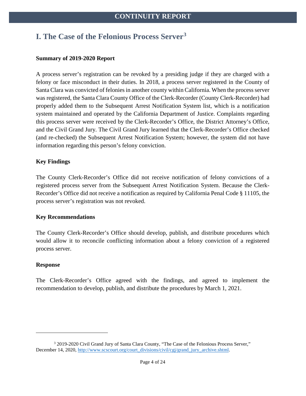# <span id="page-3-0"></span>**I. The Case of the Felonious Process Server[3](#page-3-1)**

#### **Summary of 2019-2020 Report**

A process server's registration can be revoked by a presiding judge if they are charged with a felony or face misconduct in their duties. In 2018, a process server registered in the County of Santa Clara was convicted of felonies in another county within California. When the process server was registered, the Santa Clara County Office of the Clerk-Recorder (County Clerk-Recorder) had properly added them to the Subsequent Arrest Notification System list, which is a notification system maintained and operated by the California Department of Justice. Complaints regarding this process server were received by the Clerk-Recorder's Office, the District Attorney's Office, and the Civil Grand Jury. The Civil Grand Jury learned that the Clerk-Recorder's Office checked (and re-checked) the Subsequent Arrest Notification System; however, the system did not have information regarding this person's felony conviction.

#### **Key Findings**

The County Clerk-Recorder's Office did not receive notification of felony convictions of a registered process server from the Subsequent Arrest Notification System. Because the Clerk-Recorder's Office did not receive a notification as required by California Penal Code § 11105, the process server's registration was not revoked.

#### **Key Recommendations**

The County Clerk-Recorder's Office should develop, publish, and distribute procedures which would allow it to reconcile conflicting information about a felony conviction of a registered process server.

#### **Response**

 $\overline{a}$ 

The Clerk-Recorder's Office agreed with the findings, and agreed to implement the recommendation to develop, publish, and distribute the procedures by March 1, 2021.

<span id="page-3-1"></span><sup>&</sup>lt;sup>3</sup> 2019-2020 Civil Grand Jury of Santa Clara County, "The Case of the Felonious Process Server," December 14, 2020, [http://www.scscourt.org/court\\_divisions/civil/cgj/grand\\_jury\\_archive.shtml.](http://www.scscourt.org/court_divisions/civil/cgj/grand_jury_archive.shtml)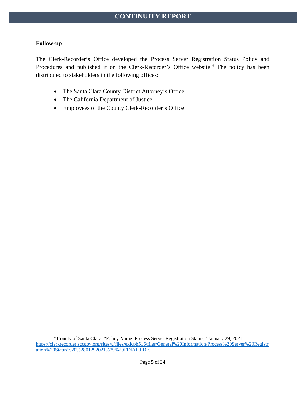#### **Follow-up**

The Clerk-Recorder's Office developed the Process Server Registration Status Policy and Procedures and published it on the Clerk-Recorder's Office website. [4](#page-4-0) The policy has been distributed to stakeholders in the following offices:

- The Santa Clara County District Attorney's Office
- The California Department of Justice
- Employees of the County Clerk-Recorder's Office

<span id="page-4-0"></span><sup>4</sup> County of Santa Clara, "Policy Name: Process Server Registration Status," January 29, 2021, [https://clerkrecorder.sccgov.org/sites/g/files/exjcpb516/files/General%20Information/Process%20Server%20Registr](https://clerkrecorder.sccgov.org/sites/g/files/exjcpb516/files/General%20Information/Process%20Server%20Registration%20Status%20%2801292021%29%20FINAL.PDF) [ation%20Status%20%2801292021%29%20FINAL.PDF.](https://clerkrecorder.sccgov.org/sites/g/files/exjcpb516/files/General%20Information/Process%20Server%20Registration%20Status%20%2801292021%29%20FINAL.PDF)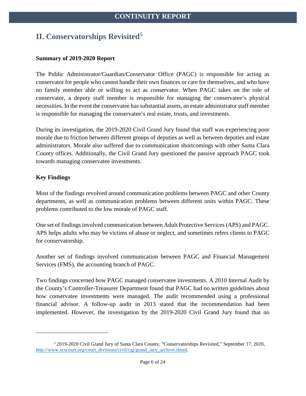# <span id="page-5-0"></span>**II. Conservatorships Revisited[5](#page-5-1)**

#### **Summary of 2019-2020 Report**

The Public Administrator/Guardian/Conservator Office (PAGC) is responsible for acting as conservator for people who cannot handle their own finances or care for themselves, and who have no family member able or willing to act as conservator. When PAGC takes on the role of conservator, a deputy staff member is responsible for managing the conservatee's physical necessities. In the event the conservatee has substantial assets, an estate administrator staff member is responsible for managing the conservatee's real estate, trusts, and investments.

During its investigation, the 2019-2020 Civil Grand Jury found that staff was experiencing poor morale due to friction between different groups of deputies as well as between deputies and estate administrators. Morale also suffered due to communication shortcomings with other Santa Clara County offices. Additionally, the Civil Grand Jury questioned the passive approach PAGC took towards managing conservatee investments.

#### **Key Findings**

 $\overline{a}$ 

Most of the findings revolved around communication problems between PAGC and other County departments, as well as communication problems between different units within PAGC. These problems contributed to the low morale of PAGC staff.

One set of findings involved communication between Adult Protective Services (APS) and PAGC. APS helps adults who may be victims of abuse or neglect, and sometimes refers clients to PAGC for conservatorship.

Another set of findings involved communication between PAGC and Financial Management Services (FMS), the accounting branch of PAGC.

Two findings concerned how PAGC managed conservatee investments. A 2010 Internal Audit by the County's Controller-Treasurer Department found that PAGC had no written guidelines about how conservatee investments were managed. The audit recommended using a professional financial advisor. A follow-up audit in 2013 stated that the recommendation had been implemented. However, the investigation by the 2019-2020 Civil Grand Jury found that no

<span id="page-5-1"></span><sup>5</sup> 2019-2020 Civil Grand Jury of Santa Clara County, "Conservatorships Revisited," September 17, 2020, [http://www.scscourt.org/court\\_divisions/civil/cgj/grand\\_jury\\_archive.shtml.](http://www.scscourt.org/court_divisions/civil/cgj/grand_jury_archive.shtml)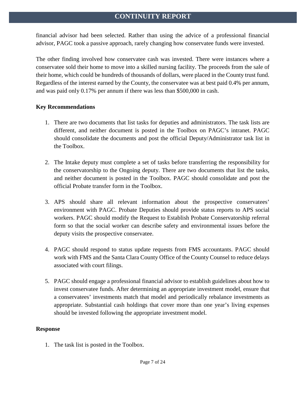financial advisor had been selected. Rather than using the advice of a professional financial advisor, PAGC took a passive approach, rarely changing how conservatee funds were invested.

The other finding involved how conservatee cash was invested. There were instances where a conservatee sold their home to move into a skilled nursing facility. The proceeds from the sale of their home, which could be hundreds of thousands of dollars, were placed in the County trust fund. Regardless of the interest earned by the County, the conservatee was at best paid 0.4% per annum, and was paid only 0.17% per annum if there was less than \$500,000 in cash.

#### **Key Recommendations**

- 1. There are two documents that list tasks for deputies and administrators. The task lists are different, and neither document is posted in the Toolbox on PAGC's intranet. PAGC should consolidate the documents and post the official Deputy/Administrator task list in the Toolbox.
- 2. The Intake deputy must complete a set of tasks before transferring the responsibility for the conservatorship to the Ongoing deputy. There are two documents that list the tasks, and neither document is posted in the Toolbox. PAGC should consolidate and post the official Probate transfer form in the Toolbox.
- 3. APS should share all relevant information about the prospective conservatees' environment with PAGC. Probate Deputies should provide status reports to APS social workers. PAGC should modify the Request to Establish Probate Conservatorship referral form so that the social worker can describe safety and environmental issues before the deputy visits the prospective conservatee.
- 4. PAGC should respond to status update requests from FMS accountants. PAGC should work with FMS and the Santa Clara County Office of the County Counsel to reduce delays associated with court filings.
- 5. PAGC should engage a professional financial advisor to establish guidelines about how to invest conservatee funds. After determining an appropriate investment model, ensure that a conservatees' investments match that model and periodically rebalance investments as appropriate. Substantial cash holdings that cover more than one year's living expenses should be invested following the appropriate investment model.

#### **Response**

1. The task list is posted in the Toolbox.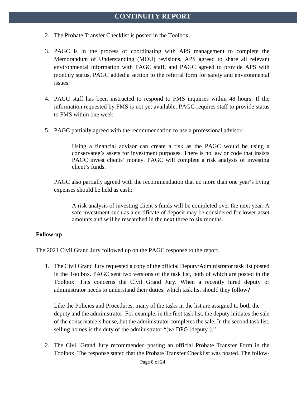- 2. The Probate Transfer Checklist is posted in the Toolbox.
- 3. PAGC is in the process of coordinating with APS management to complete the Memorandum of Understanding (MOU) revisions. APS agreed to share all relevant environmental information with PAGC staff, and PAGC agreed to provide APS with monthly status. PAGC added a section to the referral form for safety and environmental issues.
- 4. PAGC staff has been instructed to respond to FMS inquiries within 48 hours. If the information requested by FMS is not yet available, PAGC requires staff to provide status to FMS within one week.
- 5. PAGC partially agreed with the recommendation to use a professional advisor:

Using a financial advisor can create a risk as the PAGC would be using a conservatee's assets for investment purposes. There is no law or code that insists PAGC invest clients' money. PAGC will complete a risk analysis of investing client's funds.

PAGC also partially agreed with the recommendation that no more than one year's living expenses should be held as cash:

A risk analysis of investing client's funds will be completed over the next year. A safe investment such as a certificate of deposit may be considered for lower asset amounts and will be researched in the next three to six months.

#### **Follow-up**

The 2021 Civil Grand Jury followed up on the PAGC response to the report.

1. The Civil Grand Jury requested a copy of the official Deputy/Administrator task list posted in the Toolbox. PAGC sent two versions of the task list, both of which are posted in the Toolbox. This concerns the Civil Grand Jury. When a recently hired deputy or administrator needs to understand their duties, which task list should they follow?

Like the Policies and Procedures, many of the tasks in the list are assigned to both the deputy and the administrator. For example, in the first task list, the deputy initiates the sale of the conservatee's house, but the administrator completes the sale. In the second task list, selling homes is the duty of the administrator "(w/ DPG [deputy])."

2. The Civil Grand Jury recommended posting an official Probate Transfer Form in the Toolbox. The response stated that the Probate Transfer Checklist was posted. The follow-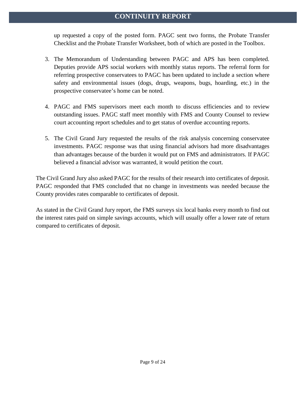up requested a copy of the posted form. PAGC sent two forms, the Probate Transfer Checklist and the Probate Transfer Worksheet, both of which are posted in the Toolbox.

- 3. The Memorandum of Understanding between PAGC and APS has been completed. Deputies provide APS social workers with monthly status reports. The referral form for referring prospective conservatees to PAGC has been updated to include a section where safety and environmental issues (dogs, drugs, weapons, bugs, hoarding, etc.) in the prospective conservatee's home can be noted.
- 4. PAGC and FMS supervisors meet each month to discuss efficiencies and to review outstanding issues. PAGC staff meet monthly with FMS and County Counsel to review court accounting report schedules and to get status of overdue accounting reports.
- 5. The Civil Grand Jury requested the results of the risk analysis concerning conservatee investments. PAGC response was that using financial advisors had more disadvantages than advantages because of the burden it would put on FMS and administrators. If PAGC believed a financial advisor was warranted, it would petition the court.

The Civil Grand Jury also asked PAGC for the results of their research into certificates of deposit. PAGC responded that FMS concluded that no change in investments was needed because the County provides rates comparable to certificates of deposit.

As stated in the Civil Grand Jury report, the FMS surveys six local banks every month to find out the interest rates paid on simple savings accounts, which will usually offer a lower rate of return compared to certificates of deposit.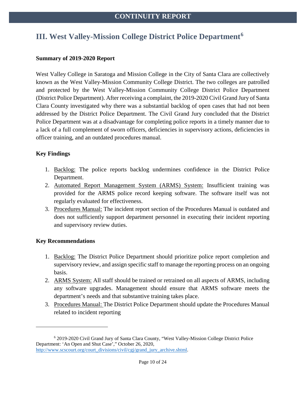## <span id="page-9-0"></span>**III. West Valley-Mission College District Police Department[6](#page-9-1)**

#### **Summary of 2019-2020 Report**

West Valley College in Saratoga and Mission College in the City of Santa Clara are collectively known as the West Valley-Mission Community College District. The two colleges are patrolled and protected by the West Valley-Mission Community College District Police Department (District Police Department). After receiving a complaint, the 2019-2020 Civil Grand Jury of Santa Clara County investigated why there was a substantial backlog of open cases that had not been addressed by the District Police Department. The Civil Grand Jury concluded that the District Police Department was at a disadvantage for completing police reports in a timely manner due to a lack of a full complement of sworn officers, deficiencies in supervisory actions, deficiencies in officer training, and an outdated procedures manual.

#### **Key Findings**

- 1. Backlog: The police reports backlog undermines confidence in the District Police Department.
- 2. Automated Report Management System (ARMS) System: Insufficient training was provided for the ARMS police record keeping software. The software itself was not regularly evaluated for effectiveness.
- 3. Procedures Manual: The incident report section of the Procedures Manual is outdated and does not sufficiently support department personnel in executing their incident reporting and supervisory review duties.

#### **Key Recommendations**

 $\overline{a}$ 

- 1. Backlog: The District Police Department should prioritize police report completion and supervisory review, and assign specific staff to manage the reporting process on an ongoing basis.
- 2. ARMS System: All staff should be trained or retrained on all aspects of ARMS, including any software upgrades. Management should ensure that ARMS software meets the department's needs and that substantive training takes place.
- 3. Procedures Manual: The District Police Department should update the Procedures Manual related to incident reporting

<span id="page-9-1"></span><sup>6</sup> 2019-2020 Civil Grand Jury of Santa Clara County, "West Valley-Mission College District Police Department: 'An Open and Shut Case'," October 26, 2020, [http://www.scscourt.org/court\\_divisions/civil/cgj/grand\\_jury\\_archive.shtml.](http://www.scscourt.org/court_divisions/civil/cgj/grand_jury_archive.shtml)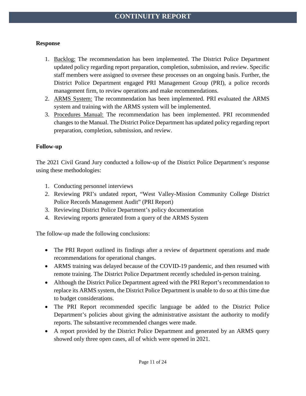#### **Response**

- 1. Backlog: The recommendation has been implemented. The District Police Department updated policy regarding report preparation, completion, submission, and review. Specific staff members were assigned to oversee these processes on an ongoing basis. Further, the District Police Department engaged PRI Management Group (PRI), a police records management firm, to review operations and make recommendations.
- 2. ARMS System: The recommendation has been implemented. PRI evaluated the ARMS system and training with the ARMS system will be implemented.
- 3. Procedures Manual: The recommendation has been implemented. PRI recommended changes to the Manual. The District Police Department has updated policy regarding report preparation, completion, submission, and review.

#### **Follow-up**

The 2021 Civil Grand Jury conducted a follow-up of the District Police Department's response using these methodologies:

- 1. Conducting personnel interviews
- 2. Reviewing PRI's undated report, "West Valley-Mission Community College District Police Records Management Audit" (PRI Report)
- 3. Reviewing District Police Department's policy documentation
- 4. Reviewing reports generated from a query of the ARMS System

The follow-up made the following conclusions:

- The PRI Report outlined its findings after a review of department operations and made recommendations for operational changes.
- ARMS training was delayed because of the COVID-19 pandemic, and then resumed with remote training. The District Police Department recently scheduled in-person training.
- Although the District Police Department agreed with the PRI Report's recommendation to replace its ARMS system, the District Police Department is unable to do so at this time due to budget considerations.
- The PRI Report recommended specific language be added to the District Police Department's policies about giving the administrative assistant the authority to modify reports. The substantive recommended changes were made.
- A report provided by the District Police Department and generated by an ARMS query showed only three open cases, all of which were opened in 2021.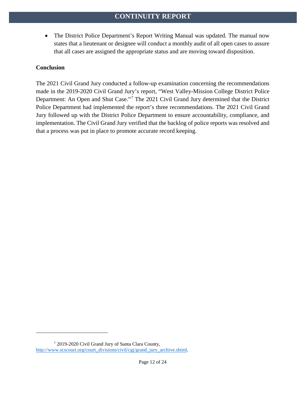• The District Police Department's Report Writing Manual was updated. The manual now states that a lieutenant or designee will conduct a monthly audit of all open cases to assure that all cases are assigned the appropriate status and are moving toward disposition.

#### **Conclusion**

 $\overline{a}$ 

The 2021 Civil Grand Jury conducted a follow-up examination concerning the recommendations made in the 2019-2020 Civil Grand Jury's report, "West Valley-Mission College District Police Department: An Open and Shut Case."[7](#page-11-0) The 2021 Civil Grand Jury determined that the District Police Department had implemented the report's three recommendations. The 2021 Civil Grand Jury followed up with the District Police Department to ensure accountability, compliance, and implementation. The Civil Grand Jury verified that the backlog of police reports was resolved and that a process was put in place to promote accurate record keeping.

<span id="page-11-0"></span><sup>7</sup> 2019-2020 Civil Grand Jury of Santa Clara County, [http://www.scscourt.org/court\\_divisions/civil/cgj/grand\\_jury\\_archive.shtml.](http://www.scscourt.org/court_divisions/civil/cgj/grand_jury_archive.shtml)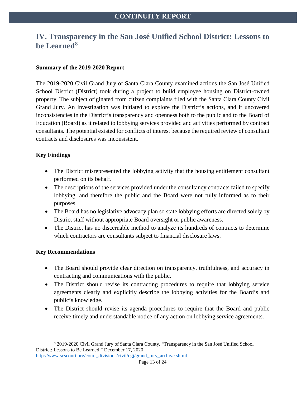### <span id="page-12-0"></span>**IV. Transparency in the San José Unified School District: Lessons to be Learned[8](#page-12-1)**

#### **Summary of the 2019-2020 Report**

The 2019-2020 Civil Grand Jury of Santa Clara County examined actions the San José Unified School District (District) took during a project to build employee housing on District-owned property. The subject originated from citizen complaints filed with the Santa Clara County Civil Grand Jury. An investigation was initiated to explore the District's actions, and it uncovered inconsistencies in the District's transparency and openness both to the public and to the Board of Education (Board) as it related to lobbying services provided and activities performed by contract consultants. The potential existed for conflicts of interest because the required review of consultant contracts and disclosures was inconsistent.

#### **Key Findings**

- The District misrepresented the lobbying activity that the housing entitlement consultant performed on its behalf.
- The descriptions of the services provided under the consultancy contracts failed to specify lobbying, and therefore the public and the Board were not fully informed as to their purposes.
- The Board has no legislative advocacy plan so state lobbying efforts are directed solely by District staff without appropriate Board oversight or public awareness.
- The District has no discernable method to analyze its hundreds of contracts to determine which contractors are consultants subject to financial disclosure laws.

#### **Key Recommendations**

 $\overline{a}$ 

- The Board should provide clear direction on transparency, truthfulness, and accuracy in contracting and communications with the public.
- The District should revise its contracting procedures to require that lobbying service agreements clearly and explicitly describe the lobbying activities for the Board's and public's knowledge.
- The District should revise its agenda procedures to require that the Board and public receive timely and understandable notice of any action on lobbying service agreements.

[http://www.scscourt.org/court\\_divisions/civil/cgj/grand\\_jury\\_archive.shtml.](http://www.scscourt.org/court_divisions/civil/cgj/grand_jury_archive.shtml)

<span id="page-12-1"></span><sup>8</sup> 2019-2020 Civil Grand Jury of Santa Clara County, "Transparency in the San José Unified School District: Lessons to Be Learned," December 17, 2020,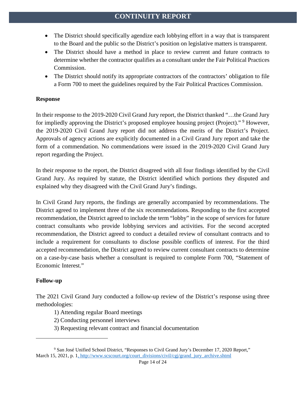- The District should specifically agendize each lobbying effort in a way that is transparent to the Board and the public so the District's position on legislative matters is transparent.
- The District should have a method in place to review current and future contracts to determine whether the contractor qualifies as a consultant under the Fair Political Practices Commission.
- The District should notify its appropriate contractors of the contractors' obligation to file a Form 700 to meet the guidelines required by the Fair Political Practices Commission.

#### **Response**

In their response to the 2019-2020 Civil Grand Jury report, the District thanked "…the Grand Jury for impliedly approving the District's proposed employee housing project (Project)."<sup>[9](#page-13-0)</sup> However, the 2019-2020 Civil Grand Jury report did not address the merits of the District's Project. Approvals of agency actions are explicitly documented in a Civil Grand Jury report and take the form of a commendation. No commendations were issued in the 2019-2020 Civil Grand Jury report regarding the Project.

In their response to the report, the District disagreed with all four findings identified by the Civil Grand Jury. As required by statute, the District identified which portions they disputed and explained why they disagreed with the Civil Grand Jury's findings.

In Civil Grand Jury reports, the findings are generally accompanied by recommendations. The District agreed to implement three of the six recommendations. Responding to the first accepted recommendation, the District agreed to include the term "lobby" in the scope of services for future contract consultants who provide lobbying services and activities. For the second accepted recommendation, the District agreed to conduct a detailed review of consultant contracts and to include a requirement for consultants to disclose possible conflicts of interest. For the third accepted recommendation, the District agreed to review current consultant contracts to determine on a case-by-case basis whether a consultant is required to complete Form 700, "Statement of Economic Interest*.*"

#### **Follow-up**

 $\overline{a}$ 

The 2021 Civil Grand Jury conducted a follow-up review of the District's response using three methodologies:

- 1) Attending regular Board meetings
- 2) Conducting personnel interviews
- 3) Requesting relevant contract and financial documentation

<span id="page-13-0"></span><sup>9</sup> San José Unified School District, "Responses to Civil Grand Jury's December 17, 2020 Report," March 15, 2021, p. 1[, http://www.scscourt.org/court\\_divisions/civil/cgj/grand\\_jury\\_archive.shtml](http://www.scscourt.org/court_divisions/civil/cgj/grand_jury_archive.shtml)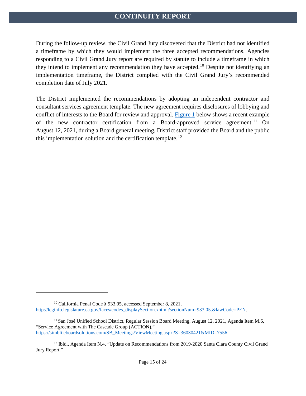During the follow-up review, the Civil Grand Jury discovered that the District had not identified a timeframe by which they would implement the three accepted recommendations. Agencies responding to a Civil Grand Jury report are required by statute to include a timeframe in which they intend to implement any recommendation they have accepted.<sup>[10](#page-14-0)</sup> Despite not identifying an implementation timeframe, the District complied with the Civil Grand Jury's recommended completion date of July 2021.

The District implemented the recommendations by adopting an independent contractor and consultant services agreement template. The new agreement requires disclosures of lobbying and conflict of interests to the Board for review and approval. [Figure 1](#page-15-0) below shows a recent example of the new contractor certification from a Board-approved service agreement.<sup>[11](#page-14-1)</sup> On August 12, 2021, during a Board general meeting, District staff provided the Board and the public this implementation solution and the certification template.<sup>[12](#page-14-2)</sup>

 $\overline{a}$ 

<span id="page-14-0"></span><sup>10</sup> California Penal Code § 933.05, accessed September 8, 2021, [http://leginfo.legislature.ca.gov/faces/codes\\_displaySection.xhtml?sectionNum=933.05.&lawCode=PEN.](http://leginfo.legislature.ca.gov/faces/codes_displaySection.xhtml?sectionNum=933.05.&lawCode=PEN)

<span id="page-14-1"></span><sup>&</sup>lt;sup>11</sup> San José Unified School District, Regular Session Board Meeting, August 12, 2021, Agenda Item M.6, "Service Agreement with The Cascade Group (ACTION)," [https://simbli.eboardsolutions.com/SB\\_Meetings/ViewMeeting.aspx?S=36030421&MID=7556.](https://simbli.eboardsolutions.com/SB_Meetings/ViewMeeting.aspx?S=36030421&MID=7556)

<span id="page-14-2"></span><sup>&</sup>lt;sup>12</sup> Ibid., Agenda Item N.4, "Update on Recommendations from 2019-2020 Santa Clara County Civil Grand Jury Report."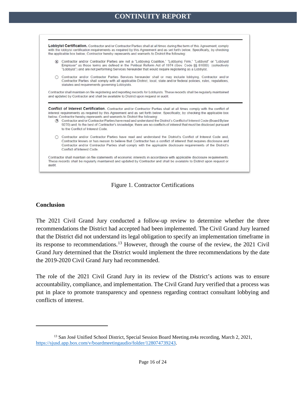



#### <span id="page-15-0"></span>**Conclusion**

 $\overline{a}$ 

The 2021 Civil Grand Jury conducted a follow-up review to determine whether the three recommendations the District had accepted had been implemented. The Civil Grand Jury learned that the District did not understand its legal obligation to specify an implementation timeframe in its response to recommendations.[13](#page-15-1) However, through the course of the review, the 2021 Civil Grand Jury determined that the District would implement the three recommendations by the date the 2019-2020 Civil Grand Jury had recommended.

The role of the 2021 Civil Grand Jury in its review of the District's actions was to ensure accountability, compliance, and implementation. The Civil Grand Jury verified that a process was put in place to promote transparency and openness regarding contract consultant lobbying and conflicts of interest.

<span id="page-15-1"></span><sup>&</sup>lt;sup>13</sup> San José Unified School District, Special Session Board Meeting.m4a recording, March 2, 2021, [https://sjusd.app.box.com/v/boardmeetingaudio/folder/128074739243.](https://sjusd.app.box.com/v/boardmeetingaudio/folder/128074739243)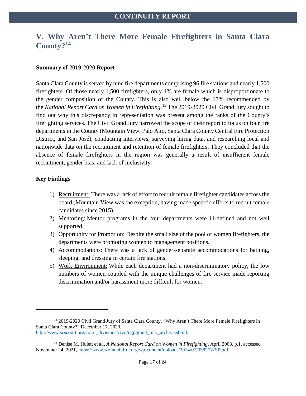## <span id="page-16-0"></span>**V. Why Aren't There More Female Firefighters in Santa Clara County?[14](#page-16-1)**

#### **Summary of 2019-2020 Report**

Santa Clara County is served by nine fire departments comprising 96 fire stations and nearly 1,500 firefighters. Of those nearly 1,500 firefighters, only 4% are female which is disproportionate to the gender composition of the County. This is also well below the 17% recommended by the *National Report Card on Women in Firefighting*. [15](#page-16-2) The 2019-2020 Civil Grand Jury sought to find out why this discrepancy in representation was present among the ranks of the County's firefighting services. The Civil Grand Jury narrowed the scope of their report to focus on four fire departments in the County (Mountain View, Palo Alto, Santa Clara County Central Fire Protection District, and San José), conducting interviews, surveying hiring data, and researching local and nationwide data on the recruitment and retention of female firefighters. They concluded that the absence of female firefighters in the region was generally a result of insufficient female recruitment, gender bias, and lack of inclusivity.

#### **Key Findings**

 $\overline{a}$ 

- 1) Recruitment: There was a lack of effort to recruit female firefighter candidates across the board (Mountain View was the exception, having made specific efforts to recruit female candidates since 2015).
- 2) Mentoring: Mentor programs in the four departments were ill-defined and not well supported.
- 3) Opportunity for Promotion: Despite the small size of the pool of women firefighters, the departments were promoting women to management positions.
- 4) Accommodations: There was a lack of gender-separate accommodations for bathing, sleeping, and dressing in certain fire stations.
- 5) Work Environment: While each department had a non-discriminatory policy, the low numbers of women coupled with the unique challenges of fire service made reporting discrimination and/or harassment more difficult for women.

<span id="page-16-1"></span><sup>&</sup>lt;sup>14</sup> 2019-2020 Civil Grand Jury of Santa Clara County, "Why Aren't There More Female Firefighters in Santa Clara County?" December 17, 2020, [http://www.scscourt.org/court\\_divisions/civil/cgj/grand\\_jury\\_archive.shtml.](http://www.scscourt.org/court_divisions/civil/cgj/grand_jury_archive.shtml)

<span id="page-16-2"></span><sup>15</sup> Denise M. Hulett et al., *A National Report Card on Women in Firefighting*, April 2008, p.1, accessed November 24, 2021[, https://www.womeninfire.org/wp-content/uploads/2014/07/35827WSP.pdf.](https://www.womeninfire.org/wp-content/uploads/2014/07/35827WSP.pdf)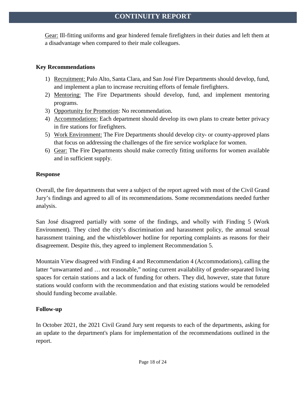Gear: Ill-fitting uniforms and gear hindered female firefighters in their duties and left them at a disadvantage when compared to their male colleagues.

#### **Key Recommendations**

- 1) Recruitment: Palo Alto, Santa Clara, and San José Fire Departments should develop, fund, and implement a plan to increase recruiting efforts of female firefighters.
- 2) Mentoring: The Fire Departments should develop, fund, and implement mentoring programs.
- 3) Opportunity for Promotion: No recommendation.
- 4) Accommodations: Each department should develop its own plans to create better privacy in fire stations for firefighters.
- 5) Work Environment: The Fire Departments should develop city- or county-approved plans that focus on addressing the challenges of the fire service workplace for women.
- 6) Gear: The Fire Departments should make correctly fitting uniforms for women available and in sufficient supply.

#### **Response**

Overall, the fire departments that were a subject of the report agreed with most of the Civil Grand Jury's findings and agreed to all of its recommendations. Some recommendations needed further analysis.

San José disagreed partially with some of the findings, and wholly with Finding 5 (Work Environment). They cited the city's discrimination and harassment policy, the annual sexual harassment training, and the whistleblower hotline for reporting complaints as reasons for their disagreement. Despite this, they agreed to implement Recommendation 5.

Mountain View disagreed with Finding 4 and Recommendation 4 (Accommodations), calling the latter "unwarranted and ... not reasonable," noting current availability of gender-separated living spaces for certain stations and a lack of funding for others. They did, however, state that future stations would conform with the recommendation and that existing stations would be remodeled should funding become available.

### **Follow-up**

In October 2021, the 2021 Civil Grand Jury sent requests to each of the departments, asking for an update to the department's plans for implementation of the recommendations outlined in the report.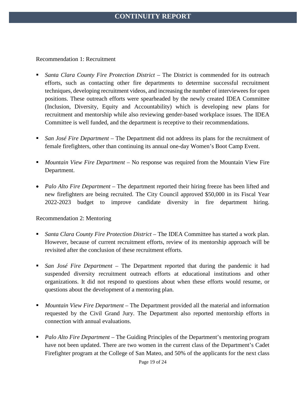Recommendation 1: Recruitment

- *Santa Clara County Fire Protection District* The District is commended for its outreach efforts, such as contacting other fire departments to determine successful recruitment techniques, developing recruitment videos, and increasing the number of interviewees for open positions. These outreach efforts were spearheaded by the newly created IDEA Committee (Inclusion, Diversity, Equity and Accountability) which is developing new plans for recruitment and mentorship while also reviewing gender-based workplace issues. The IDEA Committee is well funded, and the department is receptive to their recommendations.
- *San José Fire Department –* The Department did not address its plans for the recruitment of female firefighters, other than continuing its annual one-day Women's Boot Camp Event.
- *Mountain View Fire Department –* No response was required from the Mountain View Fire Department.
- *Palo Alto Fire Department* The department reported their hiring freeze has been lifted and new firefighters are being recruited. The City Council approved \$50,000 in its Fiscal Year 2022-2023 budget to improve candidate diversity in fire department hiring.

#### Recommendation 2: Mentoring

- *Santa Clara County Fire Protection District* The IDEA Committee has started a work plan. However, because of current recruitment efforts, review of its mentorship approach will be revisited after the conclusion of these recruitment efforts.
- *San José Fire Department –* The Department reported that during the pandemic it had suspended diversity recruitment outreach efforts at educational institutions and other organizations. It did not respond to questions about when these efforts would resume, or questions about the development of a mentoring plan.
- *Mountain View Fire Department –* The Department provided all the material and information requested by the Civil Grand Jury. The Department also reported mentorship efforts in connection with annual evaluations.
- *Palo Alto Fire Department*  The Guiding Principles of the Department's mentoring program have not been updated. There are two women in the current class of the Department's Cadet Firefighter program at the College of San Mateo, and 50% of the applicants for the next class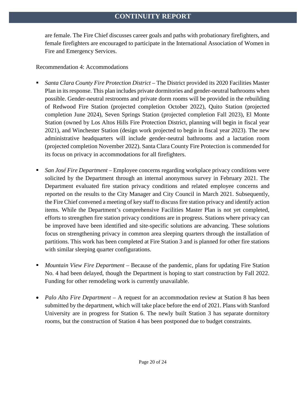are female. The Fire Chief discusses career goals and paths with probationary firefighters, and female firefighters are encouraged to participate in the International Association of Women in Fire and Emergency Services.

#### Recommendation 4: Accommodations

- *Santa Clara County Fire Protection District –* The District provided its 2020 Facilities Master Plan in its response. This plan includes private dormitories and gender-neutral bathrooms when possible. Gender-neutral restrooms and private dorm rooms will be provided in the rebuilding of Redwood Fire Station (projected completion October 2022), Quito Station (projected completion June 2024), Seven Springs Station (projected completion Fall 2023), El Monte Station (owned by Los Altos Hills Fire Protection District, planning will begin in fiscal year 2021), and Winchester Station (design work projected to begin in fiscal year 2023). The new administrative headquarters will include gender-neutral bathrooms and a lactation room (projected completion November 2022). Santa Clara County Fire Protection is commended for its focus on privacy in accommodations for all firefighters.
- *San José Fire Department –* Employee concerns regarding workplace privacy conditions were solicited by the Department through an internal anonymous survey in February 2021. The Department evaluated fire station privacy conditions and related employee concerns and reported on the results to the City Manager and City Council in March 2021. Subsequently, the Fire Chief convened a meeting of key staff to discuss fire station privacy and identify action items. While the Department's comprehensive Facilities Master Plan is not yet completed, efforts to strengthen fire station privacy conditions are in progress. Stations where privacy can be improved have been identified and site-specific solutions are advancing. These solutions focus on strengthening privacy in common area sleeping quarters through the installation of partitions. This work has been completed at Fire Station 3 and is planned for other fire stations with similar sleeping quarter configurations.
- *Mountain View Fire Department –* Because of the pandemic, plans for updating Fire Station No. 4 had been delayed, though the Department is hoping to start construction by Fall 2022. Funding for other remodeling work is currently unavailable.
- *Palo Alto Fire Department* A request for an accommodation review at Station 8 has been submitted by the department, which will take place before the end of 2021. Plans with Stanford University are in progress for Station 6. The newly built Station 3 has separate dormitory rooms, but the construction of Station 4 has been postponed due to budget constraints.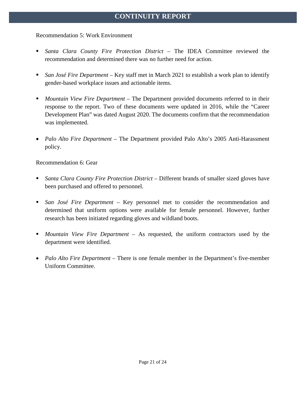#### Recommendation 5: Work Environment

- *Santa Clara County Fire Protection District –* The IDEA Committee reviewed the recommendation and determined there was no further need for action.
- *San José Fire Department –* Key staff met in March 2021 to establish a work plan to identify gender-based workplace issues and actionable items.
- *Mountain View Fire Department –* The Department provided documents referred to in their response to the report. Two of these documents were updated in 2016, while the "Career Development Plan" was dated August 2020. The documents confirm that the recommendation was implemented.
- *Palo Alto Fire Department –* The Department provided Palo Alto's 2005 Anti-Harassment policy.

Recommendation 6: Gear

- *Santa Clara County Fire Protection District –* Different brands of smaller sized gloves have been purchased and offered to personnel.
- *San José Fire Department –* Key personnel met to consider the recommendation and determined that uniform options were available for female personnel. However, further research has been initiated regarding gloves and wildland boots.
- *Mountain View Fire Department –* As requested, the uniform contractors used by the department were identified.
- *Palo Alto Fire Department –* There is one female member in the Department's five-member Uniform Committee.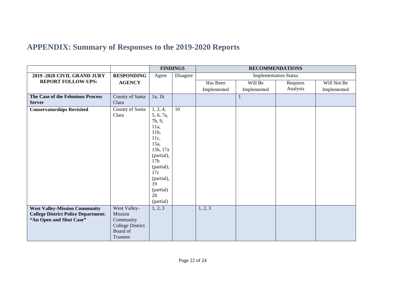# **APPENDIX: Summary of Responses to the 2019-2020 Reports**

<span id="page-21-0"></span>

|                                                                                                               |                                                                                         |                                                                                                                                                                                          | <b>FINDINGS</b> |                              |              | <b>RECOMMENDATIONS</b> |             |  |
|---------------------------------------------------------------------------------------------------------------|-----------------------------------------------------------------------------------------|------------------------------------------------------------------------------------------------------------------------------------------------------------------------------------------|-----------------|------------------------------|--------------|------------------------|-------------|--|
| 2019 - 2020 CIVIL GRAND JURY                                                                                  | <b>RESPONDING</b>                                                                       | Agree                                                                                                                                                                                    | Disagree        | <b>Implementation Status</b> |              |                        |             |  |
| <b>REPORT FOLLOW-UPS:</b>                                                                                     | <b>AGENCY</b>                                                                           |                                                                                                                                                                                          |                 | Has Been                     | Will Be      | Requires               | Will Not Be |  |
|                                                                                                               |                                                                                         |                                                                                                                                                                                          |                 | Implemented                  | Implemented  | Analysis               | Implemented |  |
| The Case of the Felonious Process<br><b>Server</b>                                                            | <b>County of Santa</b><br>Clara                                                         | 1a, 1b                                                                                                                                                                                   |                 |                              | $\mathbf{1}$ |                        |             |  |
| <b>Conservatorships Revisited</b>                                                                             | County of Santa<br>Clara                                                                | 1, 2, 4,<br>5, 6, 7a,<br>7b, 9,<br>$11a$ ,<br>11b,<br>11c,<br>15a,<br>15b, 17a<br>(partial),<br>17 <sub>b</sub><br>(partial),<br>17c<br>(partial),<br>19<br>(partial)<br>20<br>(partial) | 10              |                              |              |                        |             |  |
| <b>West Valley-Mission Community</b><br><b>College District Police Department:</b><br>"An Open and Shut Case" | West Valley-<br>Mission<br>Community<br><b>College District</b><br>Board of<br>Trustees | 1, 2, 3                                                                                                                                                                                  |                 | 1, 2, 3                      |              |                        |             |  |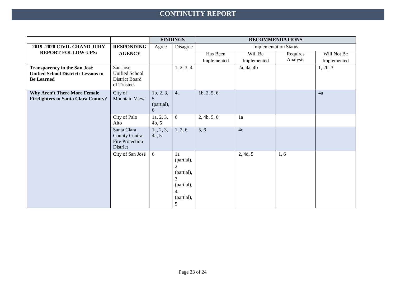|                                                                                                        |                                                                     | <b>FINDINGS</b>                                   |                                                                                              | <b>RECOMMENDATIONS</b> |             |          |             |  |  |
|--------------------------------------------------------------------------------------------------------|---------------------------------------------------------------------|---------------------------------------------------|----------------------------------------------------------------------------------------------|------------------------|-------------|----------|-------------|--|--|
| 2019 - 2020 CIVIL GRAND JURY                                                                           | <b>RESPONDING</b>                                                   | <b>Implementation Status</b><br>Disagree<br>Agree |                                                                                              |                        |             |          |             |  |  |
| <b>REPORT FOLLOW-UPS:</b>                                                                              | <b>AGENCY</b>                                                       |                                                   |                                                                                              | Has Been               | Will Be     | Requires | Will Not Be |  |  |
|                                                                                                        |                                                                     |                                                   |                                                                                              | Implemented            | Implemented | Analysis | Implemented |  |  |
| <b>Transparency in the San José</b><br><b>Unified School District: Lessons to</b><br><b>Be Learned</b> | San José<br><b>Unified School</b><br>District Board<br>of Trustees  |                                                   | 1, 2, 3, 4                                                                                   |                        | 2a, 4a, 4b  |          | 1, 2b, 3    |  |  |
| <b>Why Aren't There More Female</b><br><b>Firefighters in Santa Clara County?</b>                      | City of<br><b>Mountain View</b>                                     | 1b, 2, 3,<br>5<br>(partial),<br>6                 | 4a                                                                                           | 1b, 2, 5, 6            |             |          | 4a          |  |  |
|                                                                                                        | City of Palo<br>Alto                                                | 1a, 2, 3,<br>4b, 5                                | 6                                                                                            | 2, 4b, 5, 6            | 1a          |          |             |  |  |
|                                                                                                        | Santa Clara<br><b>County Central</b><br>Fire Protection<br>District | 1a, 2, 3,<br>4a, 5                                | 1, 2, 6                                                                                      | 5, 6                   | 4c          |          |             |  |  |
|                                                                                                        | City of San José                                                    | 6                                                 | 1a<br>(partial),<br>$\overline{2}$<br>(partial),<br>3<br>(partial),<br>4a<br>(partial),<br>5 |                        | 2, 4d, 5    | 1, 6     |             |  |  |